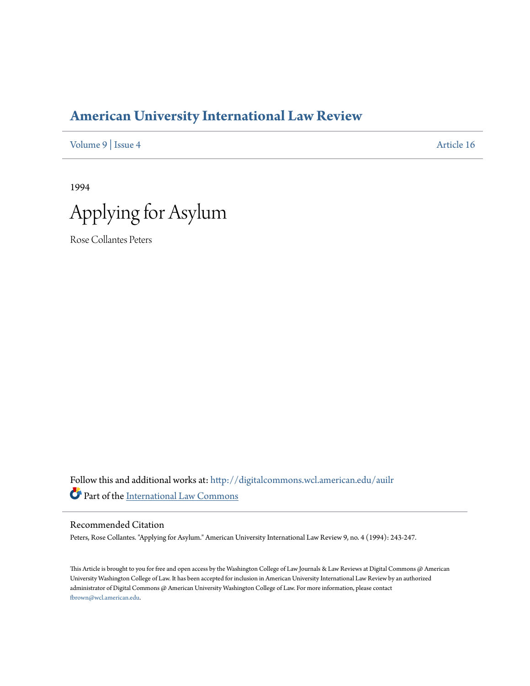## **[American University International Law Review](http://digitalcommons.wcl.american.edu/auilr?utm_source=digitalcommons.wcl.american.edu%2Fauilr%2Fvol9%2Fiss4%2F16&utm_medium=PDF&utm_campaign=PDFCoverPages)**

[Volume 9](http://digitalcommons.wcl.american.edu/auilr/vol9?utm_source=digitalcommons.wcl.american.edu%2Fauilr%2Fvol9%2Fiss4%2F16&utm_medium=PDF&utm_campaign=PDFCoverPages) | [Issue 4](http://digitalcommons.wcl.american.edu/auilr/vol9/iss4?utm_source=digitalcommons.wcl.american.edu%2Fauilr%2Fvol9%2Fiss4%2F16&utm_medium=PDF&utm_campaign=PDFCoverPages) [Article 16](http://digitalcommons.wcl.american.edu/auilr/vol9/iss4/16?utm_source=digitalcommons.wcl.american.edu%2Fauilr%2Fvol9%2Fiss4%2F16&utm_medium=PDF&utm_campaign=PDFCoverPages)

1994



Rose Collantes Peters

Follow this and additional works at: [http://digitalcommons.wcl.american.edu/auilr](http://digitalcommons.wcl.american.edu/auilr?utm_source=digitalcommons.wcl.american.edu%2Fauilr%2Fvol9%2Fiss4%2F16&utm_medium=PDF&utm_campaign=PDFCoverPages) Part of the [International Law Commons](http://network.bepress.com/hgg/discipline/609?utm_source=digitalcommons.wcl.american.edu%2Fauilr%2Fvol9%2Fiss4%2F16&utm_medium=PDF&utm_campaign=PDFCoverPages)

## Recommended Citation

Peters, Rose Collantes. "Applying for Asylum." American University International Law Review 9, no. 4 (1994): 243-247.

This Article is brought to you for free and open access by the Washington College of Law Journals & Law Reviews at Digital Commons @ American University Washington College of Law. It has been accepted for inclusion in American University International Law Review by an authorized administrator of Digital Commons @ American University Washington College of Law. For more information, please contact [fbrown@wcl.american.edu](mailto:fbrown@wcl.american.edu).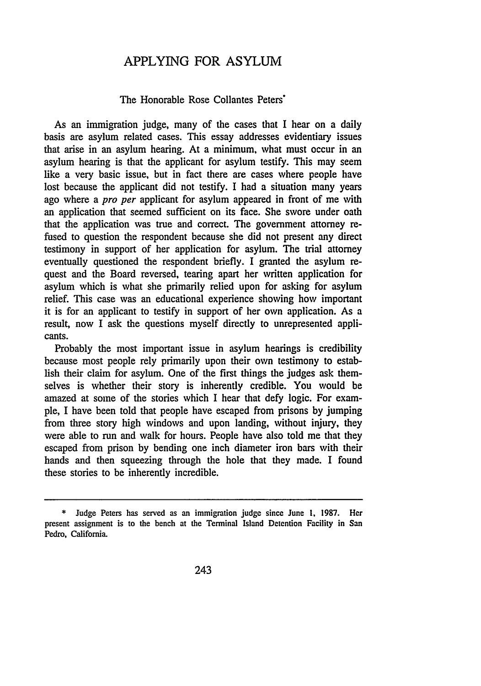## APPLYING FOR ASYLUM

## The Honorable Rose Collantes Peters'

As an immigration judge, many of the cases that I hear on a daily basis are asylum related cases. This essay addresses evidentiary issues that arise in an asylum hearing. At a minimum, what must occur in an asylum hearing is that the applicant for asylum testify. This may seem like a very basic issue, but in fact there are cases where people have lost because the applicant did not testify. I had a situation many years ago where a *pro per* applicant for asylum appeared in front of me with an application that seemed sufficient on its face. She swore under oath that the application was true and correct. The government attorney refused to question the respondent because she did not present any direct testimony in support of her application for asylum. The trial attorney eventually questioned the respondent briefly. I granted the asylum request and the Board reversed, tearing apart her written application for asylum which is what she primarily relied upon for asking for asylum relief. This case was an educational experience showing how important it is for an applicant to testify in support of her own application. As a result, now I ask the questions myself directly to unrepresented applicants.

Probably the most important issue in asylum hearings is credibility because most people rely primarily upon their own testimony to establish their claim for asylum. One of the first things the judges ask themselves is whether their story is inherently credible. You would be amazed at some of the stories which I hear that defy logic. For example, I have been told that people have escaped from prisons by jumping from three story high windows and upon landing, without injury, they were able to run and walk for hours. People have also told me that they escaped from prison by bending one inch diameter iron bars with their hands and then squeezing through the hole that they made. I found these stories to be inherently incredible.

<sup>\*</sup> Judge Peters has served as an immigration judge since June **1.** 1987. Her present assignment is to the bench at the Terminal Island Detention Facility in San Pedro, California.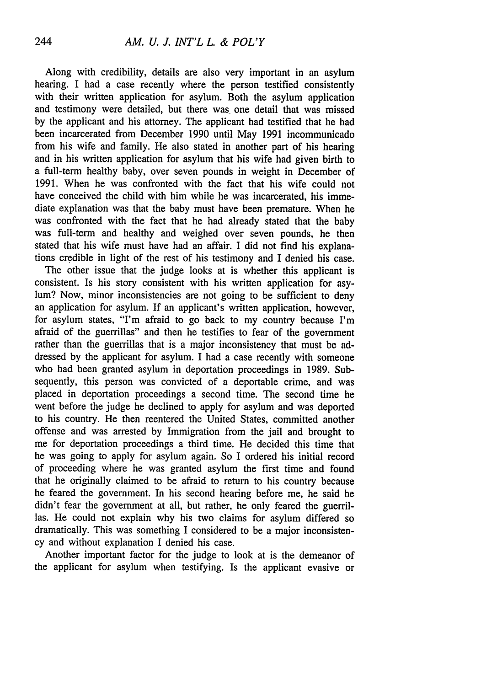Along with credibility, details are also very important in an asylum hearing. I had a case recently where the person testified consistently with their written application for asylum. Both the asylum application and testimony were detailed, but there was one detail that was missed by the applicant and his attorney. The applicant had testified that he had been incarcerated from December 1990 until May 1991 incommunicado from his wife and family. He also stated in another part of his hearing and in his written application for asylum that his wife had given birth to a full-term healthy baby, over seven pounds in weight in December of 1991. When he was confronted with the fact that his wife could not have conceived the child with him while he was incarcerated, his immediate explanation was that the baby must have been premature. When he was confronted with the fact that he had already stated that the baby was full-term and healthy and weighed over seven pounds, he then stated that his wife must have had an affair. I did not find his explanations credible in light of the rest of his testimony and I denied his case.

The other issue that the judge looks at is whether this applicant is consistent. Is his story consistent with his written application for asylum? Now, minor inconsistencies are not going to be sufficient to deny an application for asylum. If an applicant's written application, however, for asylum states, "I'm afraid to go back to my country because I'm afraid of the guerrillas" and then he testifies to fear of the government rather than the guerrillas that is a major inconsistency that must be addressed by the applicant for asylum. I had a case recently with someone who had been granted asylum in deportation proceedings in 1989. Subsequently, this person was convicted of a deportable crime, and was placed in deportation proceedings a second time. The second time he went before the judge he declined to apply for asylum and was deported to his country. He then reentered the United States, committed another offense and was arrested by Immigration from the jail and brought to me for deportation proceedings a third time. He decided this time that he was going to apply for asylum again. So I ordered his initial record of proceeding where he was granted asylum the first time and found that he originally claimed to be afraid to return to his country because he feared the government. In his second hearing before me, he said he didn't fear the government at all, but rather, he only feared the guerrillas. He could not explain why his two claims for asylum differed so dramatically. This was something I considered to be a major inconsistency and without explanation I denied his case.

Another important factor for the judge to look at is the demeanor of the applicant for asylum when testifying. Is the applicant evasive or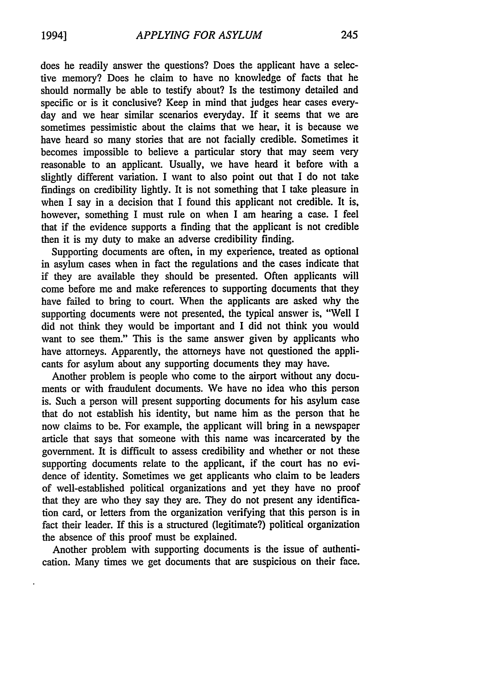does he readily answer the questions? Does the applicant have a selective memory? Does he claim to have no knowledge of facts that he should normally be able to testify about? Is the testimony detailed and specific or is it conclusive? Keep in mind that judges hear cases everyday and we hear similar scenarios everyday. If it seems that we are sometimes pessimistic about the claims that we hear, it is because we have heard so many stories that are not facially credible. Sometimes it becomes impossible to believe a particular story that may seem very reasonable to an applicant. Usually, we have heard it before with a slightly different variation. I want to also point out that I do not take findings on credibility lightly. It is not something that I take pleasure in when I say in a decision that I found this applicant not credible. It is, however, something I must rule on when I am hearing a case. I feel that if the evidence supports a finding that the applicant is not credible then it is my duty to make an adverse credibility finding.

Supporting documents are often, in my experience, treated as optional in asylum cases when in fact the regulations and the cases indicate that if they are available they should be presented. Often applicants will come before me and make references to supporting documents that they have failed to bring to court. When the applicants are asked why the supporting documents were not presented, the typical answer is, "Well I did not think they would be important and I did not think you would want to see them." This is the same answer given by applicants who have attorneys. Apparently, the attorneys have not questioned the applicants for asylum about any supporting documents they may have.

Another problem is people who come to the airport without any documents or with fraudulent documents. We have no idea who this person is. Such a person will present supporting documents for his asylum case that do not establish his identity, but name him as the person that he now claims to be. For example, the applicant will bring in a newspaper article that says that someone with this name was incarcerated by the government. It is difficult to assess credibility and whether or not these supporting documents relate to the applicant, if the court has no evidence of identity. Sometimes we get applicants who claim to be leaders of well-established political organizations and yet they have no proof that they are who they say they are. They do not present any identification card, or letters from the organization verifying that this person is in fact their leader. If this is a structured (legitimate?) political organization the absence of this proof must be explained.

Another problem with supporting documents is the issue of authentication. Many times we get documents that are suspicious on their face.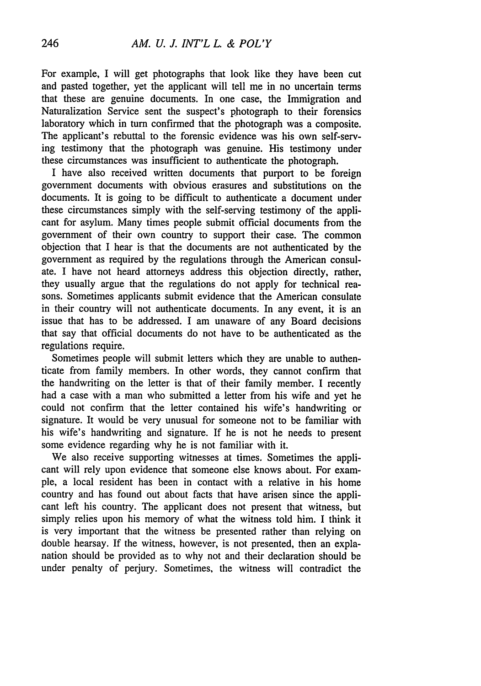For example, I will get photographs that look like they have been cut and pasted together, yet the applicant will tell me in no uncertain terms that these are genuine documents. In one case, the Immigration and Naturalization Service sent the suspect's photograph to their forensics laboratory which in turn confirmed that the photograph was a composite. The applicant's rebuttal to the forensic evidence was his own self-serving testimony that the photograph was genuine. His testimony under these circumstances was insufficient to authenticate the photograph.

I have also received written documents that purport to be foreign government documents with obvious erasures and substitutions on the documents. It is going to be difficult to authenticate a document under these circumstances simply with the self-serving testimony of the applicant for asylum. Many times people submit official documents from the government of their own country to support their case. The common objection that I hear is that the documents are not authenticated by the government as required by the regulations through the American consulate. I have not heard attorneys address this objection directly, rather, they usually argue that the regulations do not apply for technical reasons. Sometimes applicants submit evidence that the American consulate in their country will not authenticate documents. In any event, it is an issue that has to be addressed. I am unaware of any Board decisions that say that official documents do not have to be authenticated as the regulations require.

Sometimes people will submit letters which they are unable to authenticate from family members. In other words, they cannot confirm that the handwriting on the letter is that of their family member. I recently had a case with a man who submitted a letter from his wife and yet he could not confirm that the letter contained his wife's handwriting or signature. It would be very unusual for someone not to be familiar with his wife's handwriting and signature. If he is not he needs to present some evidence regarding why he is not familiar with it.

We also receive supporting witnesses at times. Sometimes the applicant will rely upon evidence that someone else knows about. For example, a local resident has been in contact with a relative in his home country and has found out about facts that have arisen since the applicant left his country. The applicant does not present that witness, but simply relies upon his memory of what the witness told him. I think it is very important that the witness be presented rather than relying on double hearsay. If the witness, however, is not presented, then an explanation should be provided as to why not and their declaration should be under penalty of perjury. Sometimes, the witness will contradict the